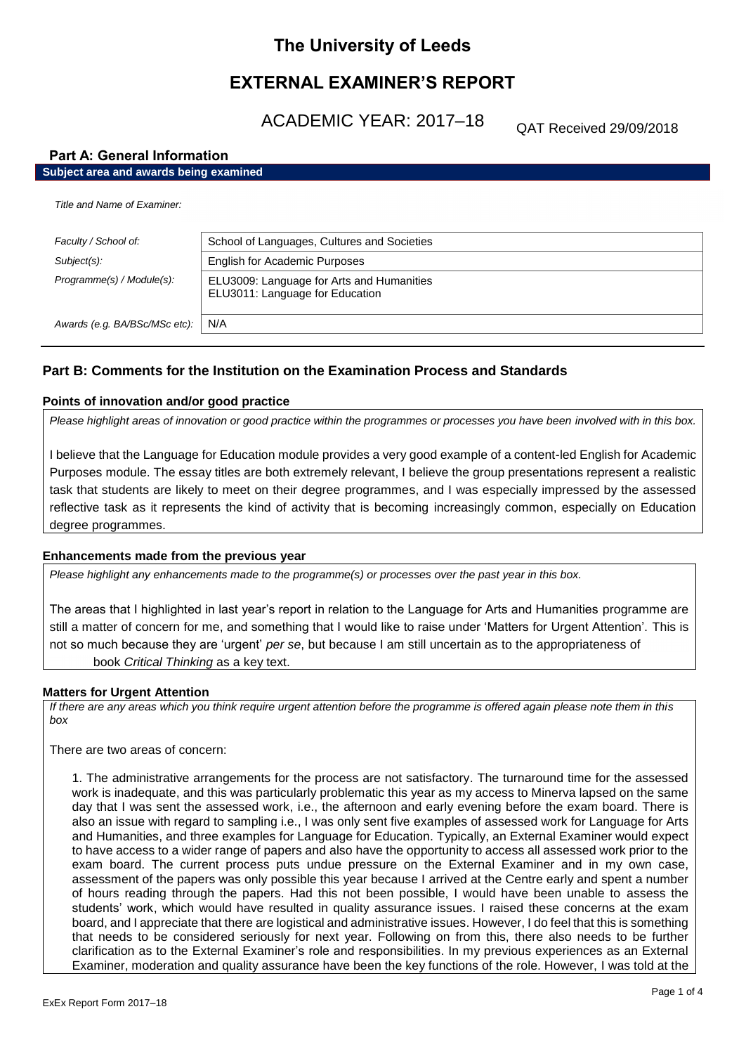# **The University of Leeds**

# **EXTERNAL EXAMINER'S REPORT**

ACADEMIC YEAR: 2017–18

QAT Received 29/09/2018

## **Part A: General Information**

# **Subject area and awards being examined**

| Title and Name of Examiner:   |                                                                              |
|-------------------------------|------------------------------------------------------------------------------|
| Faculty / School of:          | School of Languages, Cultures and Societies                                  |
| Subject(s):                   | <b>English for Academic Purposes</b>                                         |
| Programme(s) / Module(s):     | ELU3009: Language for Arts and Humanities<br>ELU3011: Language for Education |
| Awards (e.g. BA/BSc/MSc etc): | N/A                                                                          |

## **Part B: Comments for the Institution on the Examination Process and Standards**

#### **Points of innovation and/or good practice**

*Please highlight areas of innovation or good practice within the programmes or processes you have been involved with in this box.*

I believe that the Language for Education module provides a very good example of a content-led English for Academic Purposes module. The essay titles are both extremely relevant, I believe the group presentations represent a realistic task that students are likely to meet on their degree programmes, and I was especially impressed by the assessed reflective task as it represents the kind of activity that is becoming increasingly common, especially on Education degree programmes.

#### **Enhancements made from the previous year**

*Please highlight any enhancements made to the programme(s) or processes over the past year in this box.*

The areas that I highlighted in last year's report in relation to the Language for Arts and Humanities programme are still a matter of concern for me, and something that I would like to raise under 'Matters for Urgent Attention'. This is not so much because they are 'urgent' *per se*, but because I am still uncertain as to the appropriateness of book *Critical Thinking* as a key text.

#### **Matters for Urgent Attention**

*If there are any areas which you think require urgent attention before the programme is offered again please note them in this box*

There are two areas of concern:

1. The administrative arrangements for the process are not satisfactory. The turnaround time for the assessed work is inadequate, and this was particularly problematic this year as my access to Minerva lapsed on the same day that I was sent the assessed work, i.e., the afternoon and early evening before the exam board. There is also an issue with regard to sampling i.e., I was only sent five examples of assessed work for Language for Arts and Humanities, and three examples for Language for Education. Typically, an External Examiner would expect to have access to a wider range of papers and also have the opportunity to access all assessed work prior to the exam board. The current process puts undue pressure on the External Examiner and in my own case, assessment of the papers was only possible this year because I arrived at the Centre early and spent a number of hours reading through the papers. Had this not been possible, I would have been unable to assess the students' work, which would have resulted in quality assurance issues. I raised these concerns at the exam board, and I appreciate that there are logistical and administrative issues. However, I do feel that this is something that needs to be considered seriously for next year. Following on from this, there also needs to be further clarification as to the External Examiner's role and responsibilities. In my previous experiences as an External Examiner, moderation and quality assurance have been the key functions of the role. However, I was told at the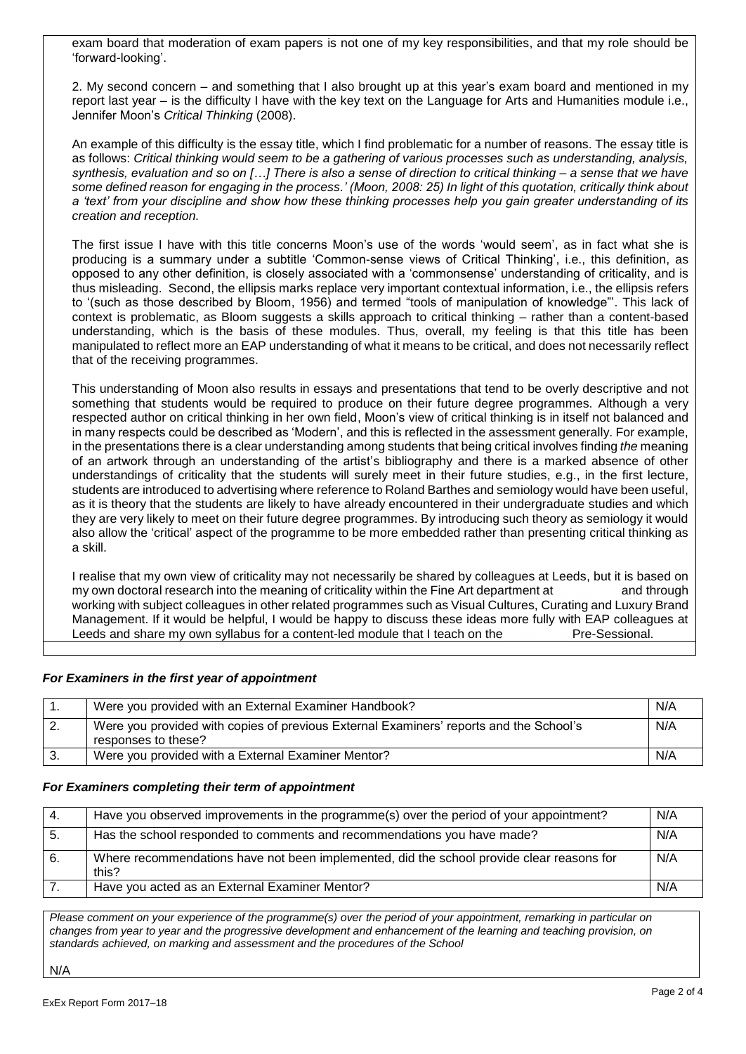exam board that moderation of exam papers is not one of my key responsibilities, and that my role should be 'forward-looking'.

2. My second concern – and something that I also brought up at this year's exam board and mentioned in my report last year – is the difficulty I have with the key text on the Language for Arts and Humanities module i.e., Jennifer Moon's *Critical Thinking* (2008).

An example of this difficulty is the essay title, which I find problematic for a number of reasons. The essay title is as follows: *Critical thinking would seem to be a gathering of various processes such as understanding, analysis, synthesis, evaluation and so on […] There is also a sense of direction to critical thinking – a sense that we have some defined reason for engaging in the process.' (Moon, 2008: 25) In light of this quotation, critically think about a 'text' from your discipline and show how these thinking processes help you gain greater understanding of its creation and reception.*

The first issue I have with this title concerns Moon's use of the words 'would seem', as in fact what she is producing is a summary under a subtitle 'Common-sense views of Critical Thinking', i.e., this definition, as opposed to any other definition, is closely associated with a 'commonsense' understanding of criticality, and is thus misleading. Second, the ellipsis marks replace very important contextual information, i.e., the ellipsis refers to '(such as those described by Bloom, 1956) and termed "tools of manipulation of knowledge"'. This lack of context is problematic, as Bloom suggests a skills approach to critical thinking *–* rather than a content-based understanding, which is the basis of these modules. Thus, overall, my feeling is that this title has been manipulated to reflect more an EAP understanding of what it means to be critical, and does not necessarily reflect that of the receiving programmes.

This understanding of Moon also results in essays and presentations that tend to be overly descriptive and not something that students would be required to produce on their future degree programmes. Although a very respected author on critical thinking in her own field, Moon's view of critical thinking is in itself not balanced and in many respects could be described as 'Modern', and this is reflected in the assessment generally. For example, in the presentations there is a clear understanding among students that being critical involves finding *the* meaning of an artwork through an understanding of the artist's bibliography and there is a marked absence of other understandings of criticality that the students will surely meet in their future studies, e.g., in the first lecture, students are introduced to advertising where reference to Roland Barthes and semiology would have been useful, as it is theory that the students are likely to have already encountered in their undergraduate studies and which they are very likely to meet on their future degree programmes. By introducing such theory as semiology it would also allow the 'critical' aspect of the programme to be more embedded rather than presenting critical thinking as a skill.

I realise that my own view of criticality may not necessarily be shared by colleagues at Leeds, but it is based on my own doctoral research into the meaning of criticality within the Fine Art department at and through working with subject colleagues in other related programmes such as Visual Cultures, Curating and Luxury Brand Management. If it would be helpful, I would be happy to discuss these ideas more fully with EAP colleagues at Leeds and share my own syllabus for a content-led module that I teach on the Pre-Sessional.

## *For Examiners in the first year of appointment*

| Were you provided with an External Examiner Handbook?                                                         | N/A |
|---------------------------------------------------------------------------------------------------------------|-----|
| Were you provided with copies of previous External Examiners' reports and the School's<br>responses to these? | N/A |
| Were you provided with a External Examiner Mentor?                                                            | N/A |

#### *For Examiners completing their term of appointment*

| -4. | Have you observed improvements in the programme(s) over the period of your appointment?            | N/A |
|-----|----------------------------------------------------------------------------------------------------|-----|
| .5. | Has the school responded to comments and recommendations you have made?                            | N/A |
| 6.  | Where recommendations have not been implemented, did the school provide clear reasons for<br>this? | N/A |
|     | Have you acted as an External Examiner Mentor?                                                     | N/A |

*Please comment on your experience of the programme(s) over the period of your appointment, remarking in particular on changes from year to year and the progressive development and enhancement of the learning and teaching provision, on standards achieved, on marking and assessment and the procedures of the School*

N/A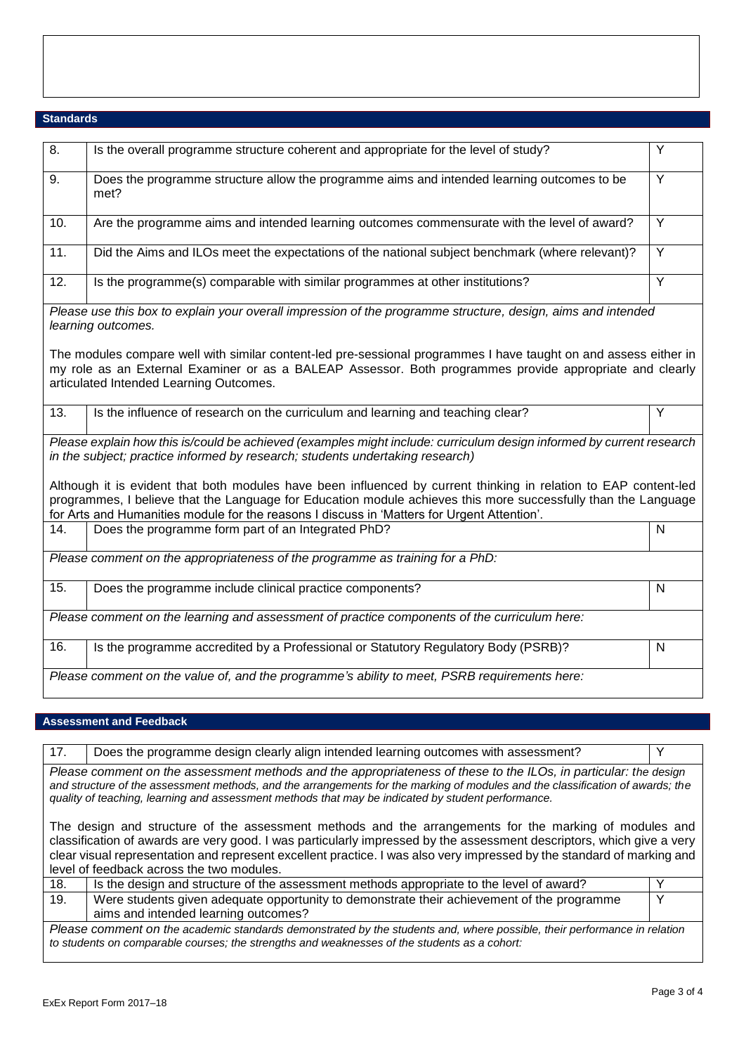## **Standards**

| $\overline{8}$ . | Is the overall programme structure coherent and appropriate for the level of study?                                                                                                                                                                                                                                               | Y              |
|------------------|-----------------------------------------------------------------------------------------------------------------------------------------------------------------------------------------------------------------------------------------------------------------------------------------------------------------------------------|----------------|
| 9.               | Does the programme structure allow the programme aims and intended learning outcomes to be<br>met?                                                                                                                                                                                                                                | Y              |
| 10.              | Are the programme aims and intended learning outcomes commensurate with the level of award?                                                                                                                                                                                                                                       | $\overline{Y}$ |
| 11.              | Did the Aims and ILOs meet the expectations of the national subject benchmark (where relevant)?                                                                                                                                                                                                                                   | $\overline{Y}$ |
| 12.              | Is the programme(s) comparable with similar programmes at other institutions?                                                                                                                                                                                                                                                     | Y              |
|                  | Please use this box to explain your overall impression of the programme structure, design, aims and intended<br>learning outcomes.                                                                                                                                                                                                |                |
|                  | The modules compare well with similar content-led pre-sessional programmes I have taught on and assess either in<br>my role as an External Examiner or as a BALEAP Assessor. Both programmes provide appropriate and clearly<br>articulated Intended Learning Outcomes.                                                           |                |
| 13.              | Is the influence of research on the curriculum and learning and teaching clear?                                                                                                                                                                                                                                                   | Y              |
|                  | Please explain how this is/could be achieved (examples might include: curriculum design informed by current research<br>in the subject; practice informed by research; students undertaking research)                                                                                                                             |                |
|                  | Although it is evident that both modules have been influenced by current thinking in relation to EAP content-led<br>programmes, I believe that the Language for Education module achieves this more successfully than the Language<br>for Arts and Humanities module for the reasons I discuss in 'Matters for Urgent Attention'. |                |
| 14.              | Does the programme form part of an Integrated PhD?                                                                                                                                                                                                                                                                                | $\mathsf{N}$   |
|                  | Please comment on the appropriateness of the programme as training for a PhD:                                                                                                                                                                                                                                                     |                |
| 15.              | Does the programme include clinical practice components?                                                                                                                                                                                                                                                                          | $\mathsf{N}$   |
|                  | Please comment on the learning and assessment of practice components of the curriculum here:                                                                                                                                                                                                                                      |                |
| 16.              | Is the programme accredited by a Professional or Statutory Regulatory Body (PSRB)?                                                                                                                                                                                                                                                | $\mathsf{N}$   |
|                  | Please comment on the value of, and the programme's ability to meet, PSRB requirements here:                                                                                                                                                                                                                                      |                |

### **Assessment and Feedback**

| 17. | Does the programme design clearly align intended learning outcomes with assessment?                                                                                                                                                                                                                                                                                                                                                                                                                                                                                                                                                                                                                                   | ν |
|-----|-----------------------------------------------------------------------------------------------------------------------------------------------------------------------------------------------------------------------------------------------------------------------------------------------------------------------------------------------------------------------------------------------------------------------------------------------------------------------------------------------------------------------------------------------------------------------------------------------------------------------------------------------------------------------------------------------------------------------|---|
|     | Please comment on the assessment methods and the appropriateness of these to the ILOs, in particular: the design<br>and structure of the assessment methods, and the arrangements for the marking of modules and the classification of awards; the<br>quality of teaching, learning and assessment methods that may be indicated by student performance.<br>The design and structure of the assessment methods and the arrangements for the marking of modules and<br>classification of awards are very good. I was particularly impressed by the assessment descriptors, which give a very<br>clear visual representation and represent excellent practice. I was also very impressed by the standard of marking and |   |
|     | level of feedback across the two modules.                                                                                                                                                                                                                                                                                                                                                                                                                                                                                                                                                                                                                                                                             |   |
| 18. | Is the design and structure of the assessment methods appropriate to the level of award?                                                                                                                                                                                                                                                                                                                                                                                                                                                                                                                                                                                                                              |   |
| 19. | Were students given adequate opportunity to demonstrate their achievement of the programme                                                                                                                                                                                                                                                                                                                                                                                                                                                                                                                                                                                                                            | Y |

aims and intended learning outcomes? *Please comment on the academic standards demonstrated by the students and, where possible, their performance in relation to students on comparable courses; the strengths and weaknesses of the students as a cohort:*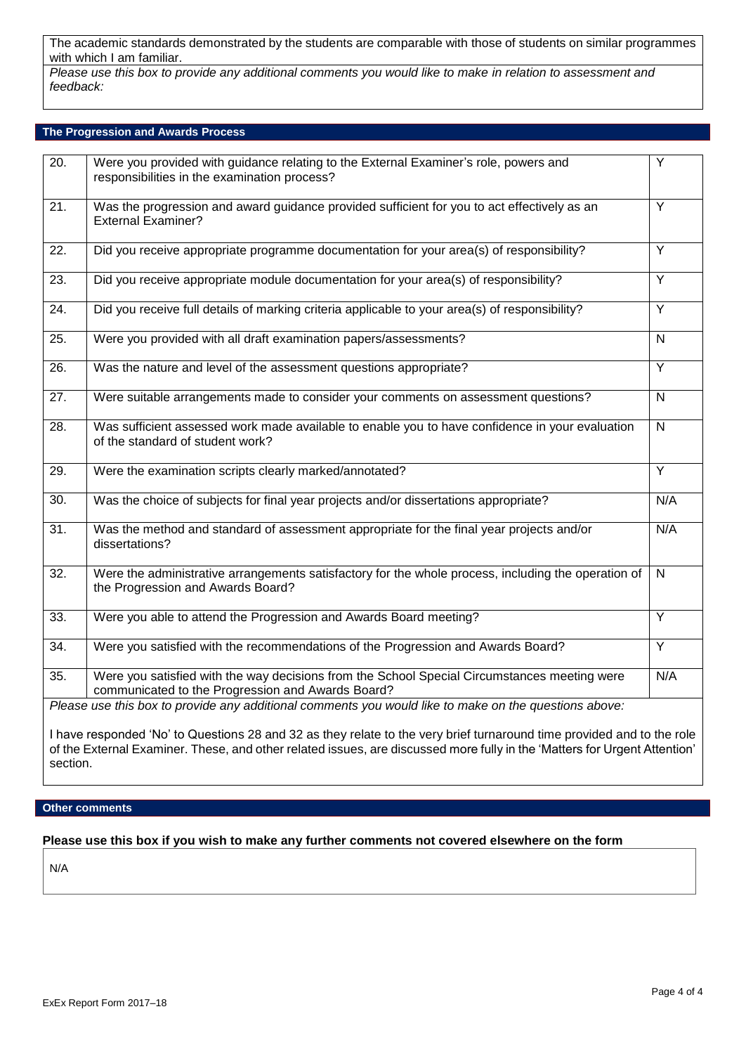The academic standards demonstrated by the students are comparable with those of students on similar programmes with which I am familiar.

*Please use this box to provide any additional comments you would like to make in relation to assessment and feedback:*

#### **The Progression and Awards Process**

| 20.               | Were you provided with guidance relating to the External Examiner's role, powers and<br>responsibilities in the examination process?              | $\overline{Y}$          |
|-------------------|---------------------------------------------------------------------------------------------------------------------------------------------------|-------------------------|
| $\overline{21}$ . | Was the progression and award guidance provided sufficient for you to act effectively as an<br><b>External Examiner?</b>                          | Y                       |
| 22.               | Did you receive appropriate programme documentation for your area(s) of responsibility?                                                           | Y                       |
| 23.               | Did you receive appropriate module documentation for your area(s) of responsibility?                                                              | Y                       |
| $\overline{24}$ . | Did you receive full details of marking criteria applicable to your area(s) of responsibility?                                                    | $\overline{Y}$          |
| 25.               | Were you provided with all draft examination papers/assessments?                                                                                  | $\overline{N}$          |
| 26.               | Was the nature and level of the assessment questions appropriate?                                                                                 | $\overline{Y}$          |
| 27.               | Were suitable arrangements made to consider your comments on assessment questions?                                                                | $\mathsf{N}$            |
| 28.               | Was sufficient assessed work made available to enable you to have confidence in your evaluation<br>of the standard of student work?               | $\mathsf{N}$            |
| 29.               | Were the examination scripts clearly marked/annotated?                                                                                            | Y                       |
| 30.               | Was the choice of subjects for final year projects and/or dissertations appropriate?                                                              | N/A                     |
| 31.               | Was the method and standard of assessment appropriate for the final year projects and/or<br>dissertations?                                        | N/A                     |
| 32.               | Were the administrative arrangements satisfactory for the whole process, including the operation of<br>the Progression and Awards Board?          | $\overline{\mathsf{N}}$ |
| 33.               | Were you able to attend the Progression and Awards Board meeting?                                                                                 | $\overline{Y}$          |
| 34.               | Were you satisfied with the recommendations of the Progression and Awards Board?                                                                  | $\overline{Y}$          |
| 35.               | Were you satisfied with the way decisions from the School Special Circumstances meeting were<br>communicated to the Progression and Awards Board? | N/A                     |
|                   | Please use this box to provide any additional comments you would like to make on the questions above:                                             |                         |
|                   | I have responded 'No' to Questions 28 and 32 as they relate to the very brief turnaround time provided and to the role                            |                         |

of the External Examiner. These, and other related issues, are discussed more fully in the 'Matters for Urgent Attention' section.

### **Other comments**

## **Please use this box if you wish to make any further comments not covered elsewhere on the form**

N/A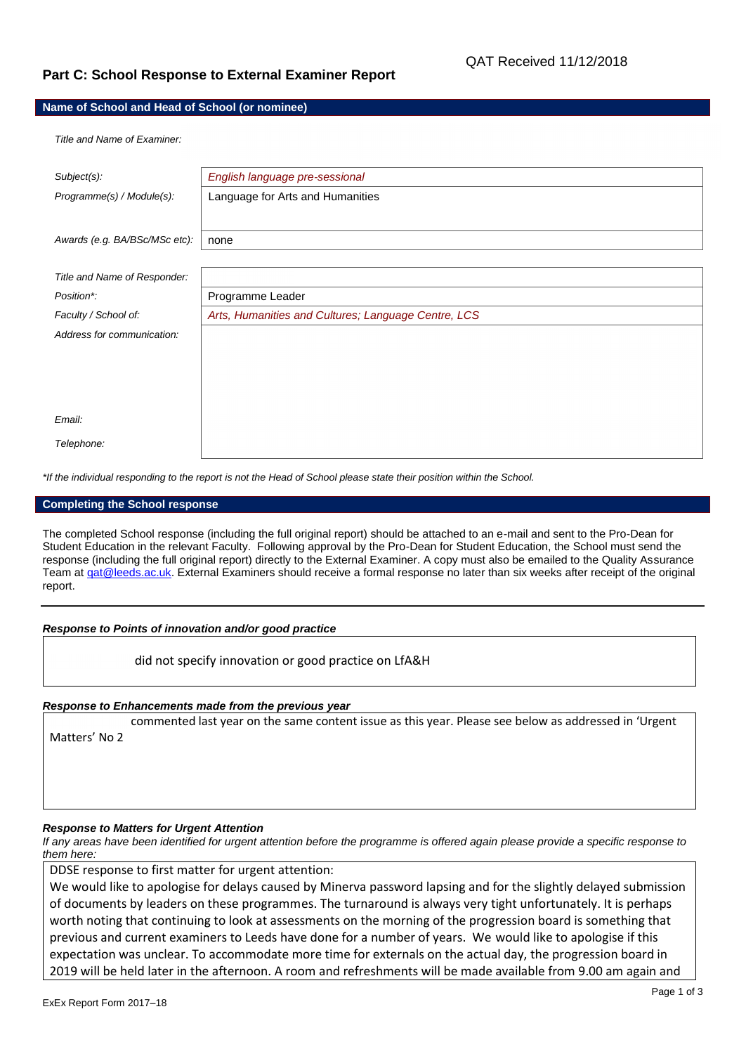## **Part C: School Response to External Examiner Report**

#### **Name of School and Head of School (or nominee)**

*Title and Name of Examiner:*

| Subject(s):                   | English language pre-sessional                      |
|-------------------------------|-----------------------------------------------------|
| Programme(s) / Module(s):     | Language for Arts and Humanities                    |
|                               |                                                     |
|                               |                                                     |
| Awards (e.g. BA/BSc/MSc etc): | none                                                |
|                               |                                                     |
| Title and Name of Responder:  |                                                     |
| Position*:                    | Programme Leader                                    |
| Faculty / School of:          | Arts, Humanities and Cultures; Language Centre, LCS |
| Address for communication:    |                                                     |
|                               |                                                     |
|                               |                                                     |
|                               |                                                     |
|                               |                                                     |
| Email:                        |                                                     |
| Telephone:                    |                                                     |
|                               |                                                     |

*\*If the individual responding to the report is not the Head of School please state their position within the School.*

#### **Completing the School response**

The completed School response (including the full original report) should be attached to an e-mail and sent to the Pro-Dean for Student Education in the relevant Faculty. Following approval by the Pro-Dean for Student Education, the School must send the response (including the full original report) directly to the External Examiner. A copy must also be emailed to the Quality Assurance Team at gat@leeds.ac.uk. External Examiners should receive a formal response no later than six weeks after receipt of the original report.

#### *Response to Points of innovation and/or good practice*

did not specify innovation or good practice on LfA&H

#### *Response to Enhancements made from the previous year*

commented last year on the same content issue as this year. Please see below as addressed in 'Urgent Matters' No 2

#### *Response to Matters for Urgent Attention*

*If any areas have been identified for urgent attention before the programme is offered again please provide a specific response to them here:*

DDSE response to first matter for urgent attention:

We would like to apologise for delays caused by Minerva password lapsing and for the slightly delayed submission of documents by leaders on these programmes. The turnaround is always very tight unfortunately. It is perhaps worth noting that continuing to look at assessments on the morning of the progression board is something that previous and current examiners to Leeds have done for a number of years. We would like to apologise if this expectation was unclear. To accommodate more time for externals on the actual day, the progression board in 2019 will be held later in the afternoon. A room and refreshments will be made available from 9.00 am again and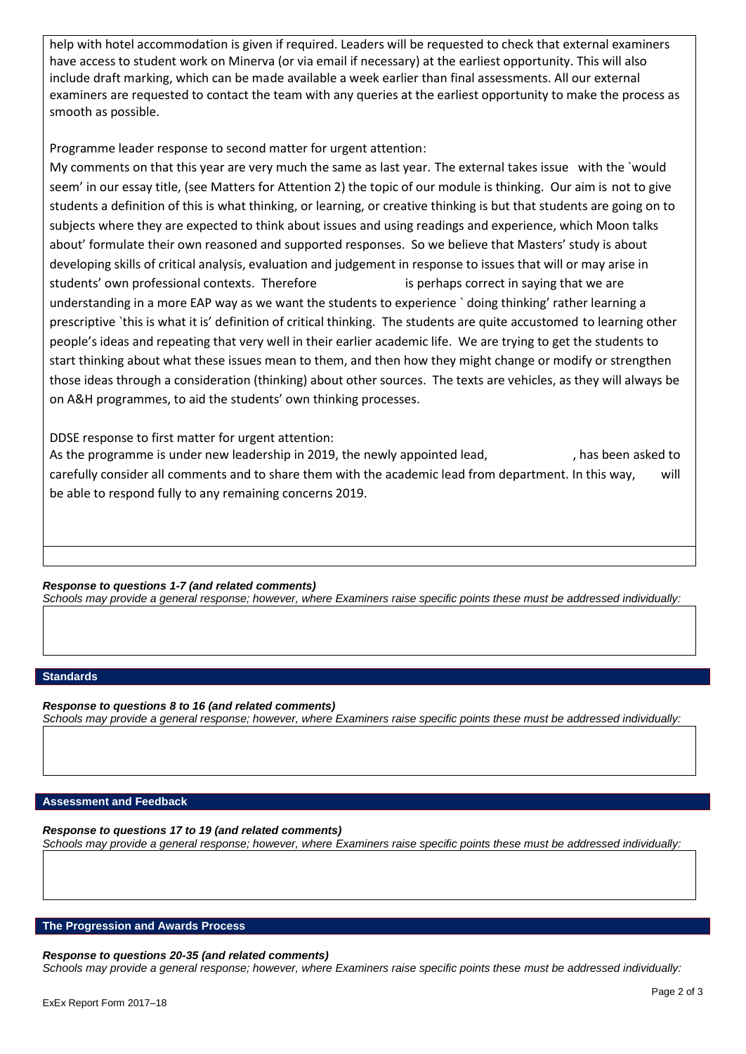help with hotel accommodation is given if required. Leaders will be requested to check that external examiners have access to student work on Minerva (or via email if necessary) at the earliest opportunity. This will also include draft marking, which can be made available a week earlier than final assessments. All our external examiners are requested to contact the team with any queries at the earliest opportunity to make the process as smooth as possible.

Programme leader response to second matter for urgent attention:

My comments on that this year are very much the same as last year. The external takes issue with the `would seem' in our essay title, (see Matters for Attention 2) the topic of our module is thinking. Our aim is not to give students a definition of this is what thinking, or learning, or creative thinking is but that students are going on to subjects where they are expected to think about issues and using readings and experience, which Moon talks about' formulate their own reasoned and supported responses. So we believe that Masters' study is about developing skills of critical analysis, evaluation and judgement in response to issues that will or may arise in students' own professional contexts. Therefore is perhaps correct in saying that we are understanding in a more EAP way as we want the students to experience ` doing thinking' rather learning a prescriptive `this is what it is' definition of critical thinking. The students are quite accustomed to learning other people's ideas and repeating that very well in their earlier academic life. We are trying to get the students to start thinking about what these issues mean to them, and then how they might change or modify or strengthen those ideas through a consideration (thinking) about other sources. The texts are vehicles, as they will always be on A&H programmes, to aid the students' own thinking processes.

DDSE response to first matter for urgent attention:

As the programme is under new leadership in 2019, the newly appointed lead, has been asked to carefully consider all comments and to share them with the academic lead from department. In this way, will be able to respond fully to any remaining concerns 2019.

*Response to questions 1-7 (and related comments)*

*Schools may provide a general response; however, where Examiners raise specific points these must be addressed individually:*

## **Standards**

*Response to questions 8 to 16 (and related comments) Schools may provide a general response; however, where Examiners raise specific points these must be addressed individually:*

#### **Assessment and Feedback**

*Response to questions 17 to 19 (and related comments)*

*Schools may provide a general response; however, where Examiners raise specific points these must be addressed individually:*

## **The Progression and Awards Process**

*Response to questions 20-35 (and related comments) Schools may provide a general response; however, where Examiners raise specific points these must be addressed individually:*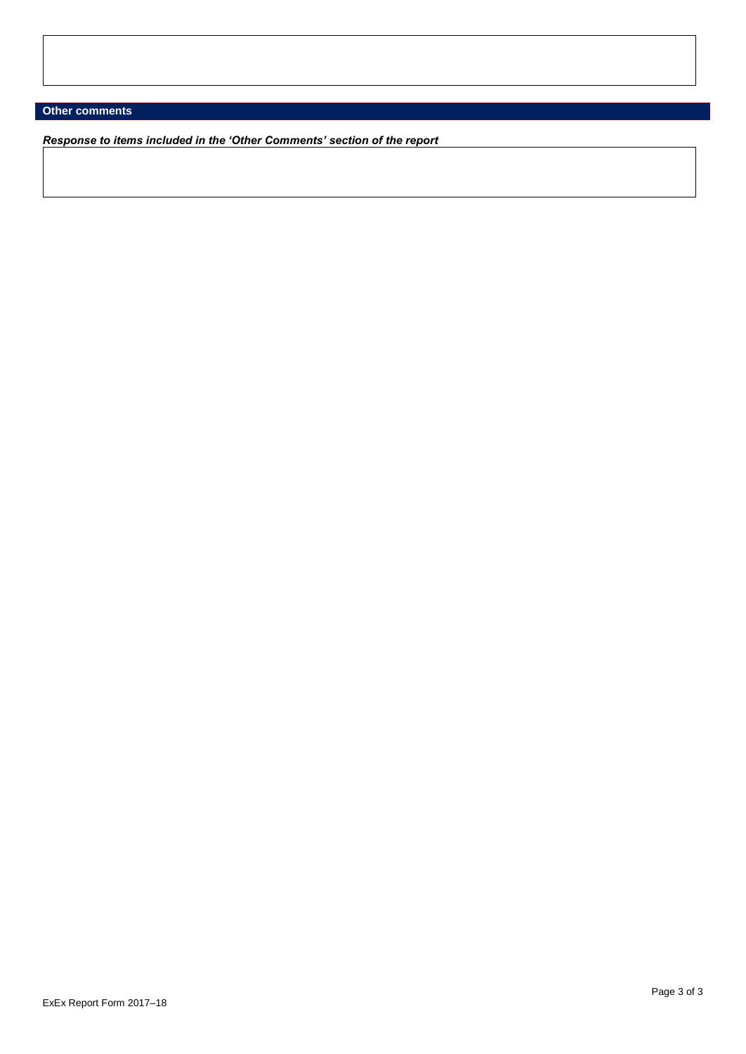## **Other comments**

*Response to items included in the 'Other Comments' section of the report*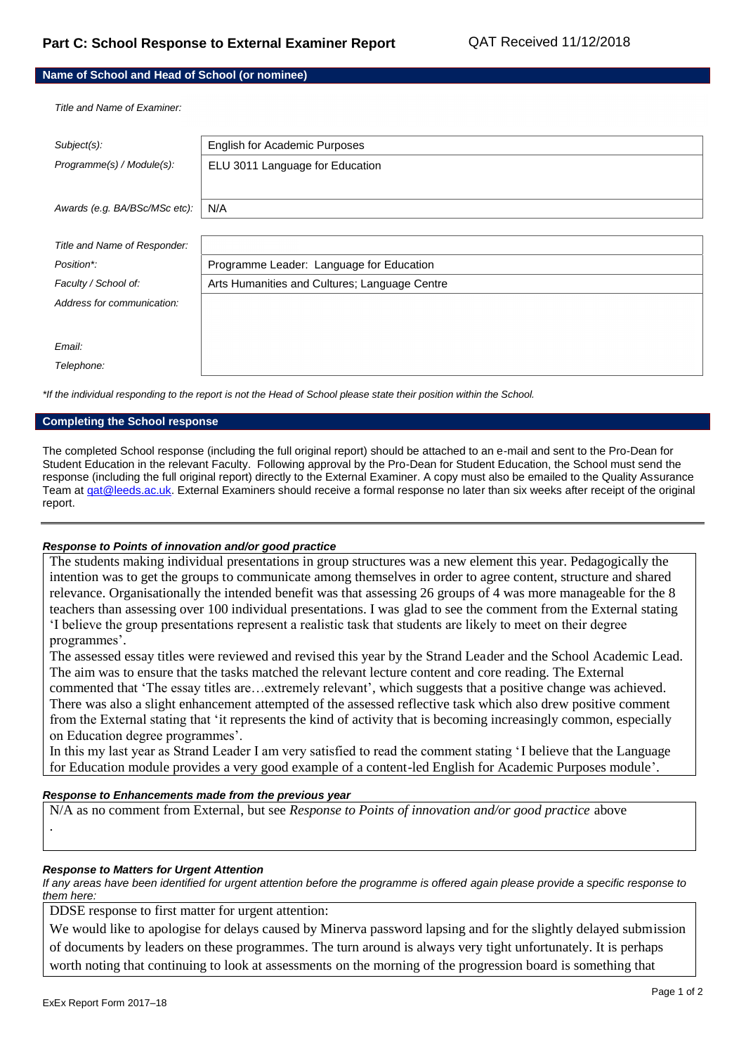### **Name of School and Head of School (or nominee)**

*Title and Name of Examiner:*

| Subject(s):                   | English for Academic Purposes                 |
|-------------------------------|-----------------------------------------------|
| Programme(s) / Module(s):     | ELU 3011 Language for Education               |
|                               |                                               |
| Awards (e.g. BA/BSc/MSc etc): | N/A                                           |
|                               |                                               |
|                               |                                               |
|                               |                                               |
| Position*:                    |                                               |
| Faculty / School of:          | Arts Humanities and Cultures; Language Centre |
| Address for communication:    |                                               |
|                               |                                               |
|                               |                                               |
| Email:                        |                                               |
| Telephone:                    |                                               |
| Title and Name of Responder:  | Programme Leader: Language for Education      |

*\*If the individual responding to the report is not the Head of School please state their position within the School.*

#### **Completing the School response**

The completed School response (including the full original report) should be attached to an e-mail and sent to the Pro-Dean for Student Education in the relevant Faculty. Following approval by the Pro-Dean for Student Education, the School must send the response (including the full original report) directly to the External Examiner. A copy must also be emailed to the Quality Assurance Team a[t qat@leeds.ac.uk.](mailto:qat@leeds.ac.uk) External Examiners should receive a formal response no later than six weeks after receipt of the original report.

#### *Response to Points of innovation and/or good practice*

The students making individual presentations in group structures was a new element this year. Pedagogically the intention was to get the groups to communicate among themselves in order to agree content, structure and shared relevance. Organisationally the intended benefit was that assessing 26 groups of 4 was more manageable for the 8 teachers than assessing over 100 individual presentations. I was glad to see the comment from the External stating 'I believe the group presentations represent a realistic task that students are likely to meet on their degree programmes'.

The assessed essay titles were reviewed and revised this year by the Strand Leader and the School Academic Lead. The aim was to ensure that the tasks matched the relevant lecture content and core reading. The External commented that 'The essay titles are…extremely relevant', which suggests that a positive change was achieved. There was also a slight enhancement attempted of the assessed reflective task which also drew positive comment from the External stating that 'it represents the kind of activity that is becoming increasingly common, especially on Education degree programmes'.

In this my last year as Strand Leader I am very satisfied to read the comment stating 'I believe that the Language for Education module provides a very good example of a content-led English for Academic Purposes module'.

#### *Response to Enhancements made from the previous year*

N/A as no comment from External, but see *Response to Points of innovation and/or good practice* above .

#### *Response to Matters for Urgent Attention*

*If any areas have been identified for urgent attention before the programme is offered again please provide a specific response to them here:*

DDSE response to first matter for urgent attention:

We would like to apologise for delays caused by Minerva password lapsing and for the slightly delayed submission of documents by leaders on these programmes. The turn around is always very tight unfortunately. It is perhaps worth noting that continuing to look at assessments on the morning of the progression board is something that